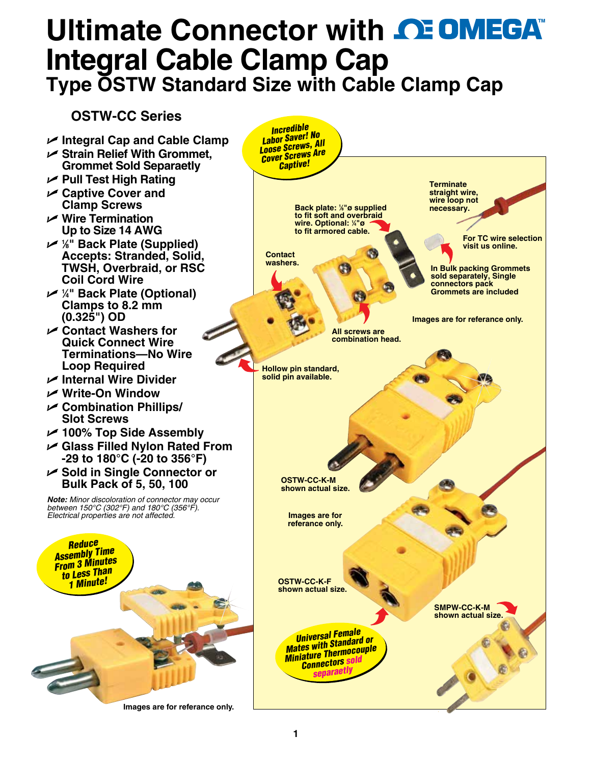## **Ultimate Connector with CE OMEGA® Integral Cable Clamp Ca[p](www.omega.com) Type OSTW Standard Size with Cable Clamp Cap**

## **OSTW-CC Series**

- U **Integral Cap and Cable Clamp**
- U **Strain Relief With Grommet, Grommet Sold Separaetly**
- U **Pull Test High Rating**
- U **Captive Cover and Clamp Screws**
- U **Wire Termination Up to Size 14 AWG**
- U **<sup>1</sup> ⁄8" Back Plate (Supplied) Accepts: Stranded, Solid, TWSH, Overbraid, or RSC Coil Cord Wire**
- U **<sup>1</sup> ⁄4" Back Plate (Optional) Clamps to 8.2 mm (0.325") OD**
- U **Contact Washers for Quick Connect Wire Terminations—No Wire Loop Required**
- U **Internal Wire Divider**
- U **Write-On Window**
- U **Combination Phillips/ Slot Screws**
- U **100% Top Side Assembly**
- U **Glass Filled Nylon Rated From -29 to 180°C (-20 to 356°F)**
- U **Sold in Single Connector or Bulk Pack of 5, 50, 100**

*Note: Minor discoloration of connector may occur between 150°C (302°F) and 180°C (356°F). Electrical properties are not affected.*



**Images are for referance only.**

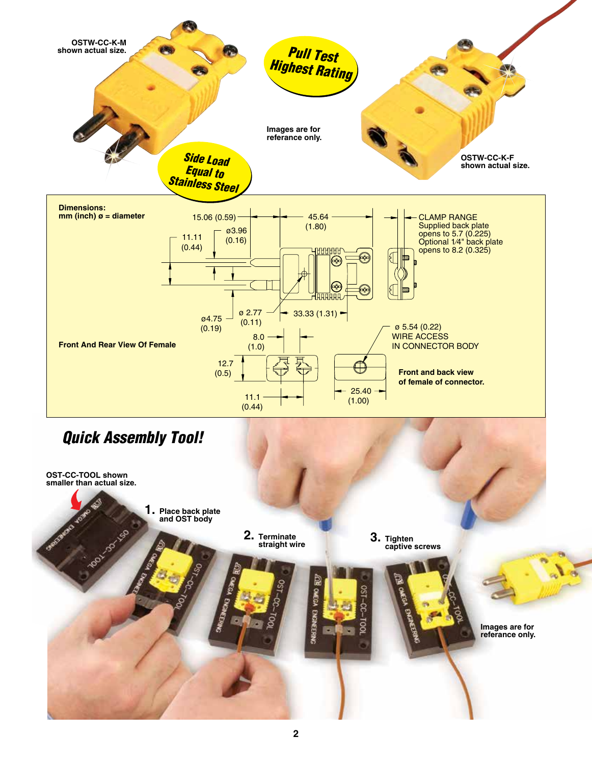